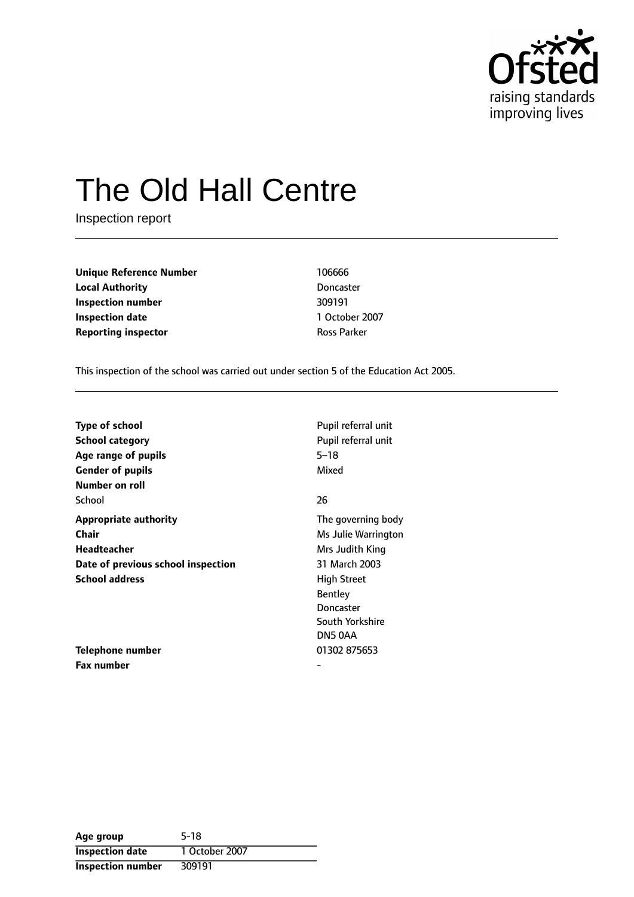

# The Old Hall Centre

Inspection report

**Unique Reference Number** 106666 **Local Authority** Doncaster **Inspection number** 309191 **Inspection date** 1 October 2007 **Reporting inspector CONSERVING PARTICIPED ROSS Parker** 

This inspection of the school was carried out under section 5 of the Education Act 2005.

| <b>Type of school</b>              | Pupil referral unit |
|------------------------------------|---------------------|
| School category                    | Pupil referral unit |
| Age range of pupils                | $5 - 18$            |
| <b>Gender of pupils</b>            | Mixed               |
| Number on roll                     |                     |
| School                             | 26                  |
| <b>Appropriate authority</b>       | The governing body  |
| Chair                              | Ms Julie Warrington |
| Headteacher                        | Mrs Judith King     |
| Date of previous school inspection | 31 March 2003       |
| <b>School address</b>              | <b>High Street</b>  |
|                                    | <b>Bentley</b>      |
|                                    | Doncaster           |
|                                    | South Yorkshire     |
|                                    | DN5 0AA             |
| Telephone number                   | 01302 875653        |
| Fax number                         |                     |

| Age group                | $5-18$         |
|--------------------------|----------------|
| <b>Inspection date</b>   | 1 October 2007 |
| <b>Inspection number</b> | 309191         |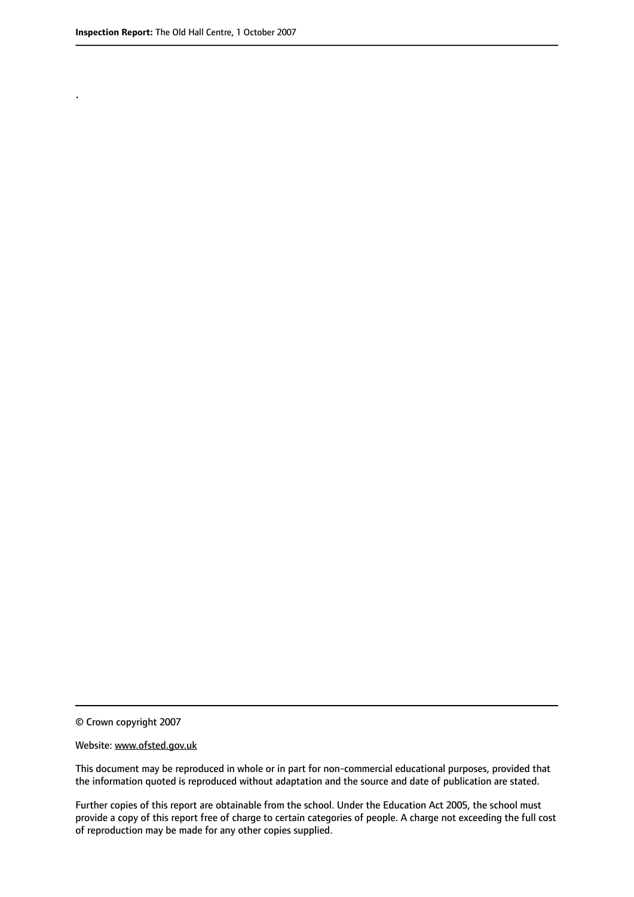.

© Crown copyright 2007

#### Website: www.ofsted.gov.uk

This document may be reproduced in whole or in part for non-commercial educational purposes, provided that the information quoted is reproduced without adaptation and the source and date of publication are stated.

Further copies of this report are obtainable from the school. Under the Education Act 2005, the school must provide a copy of this report free of charge to certain categories of people. A charge not exceeding the full cost of reproduction may be made for any other copies supplied.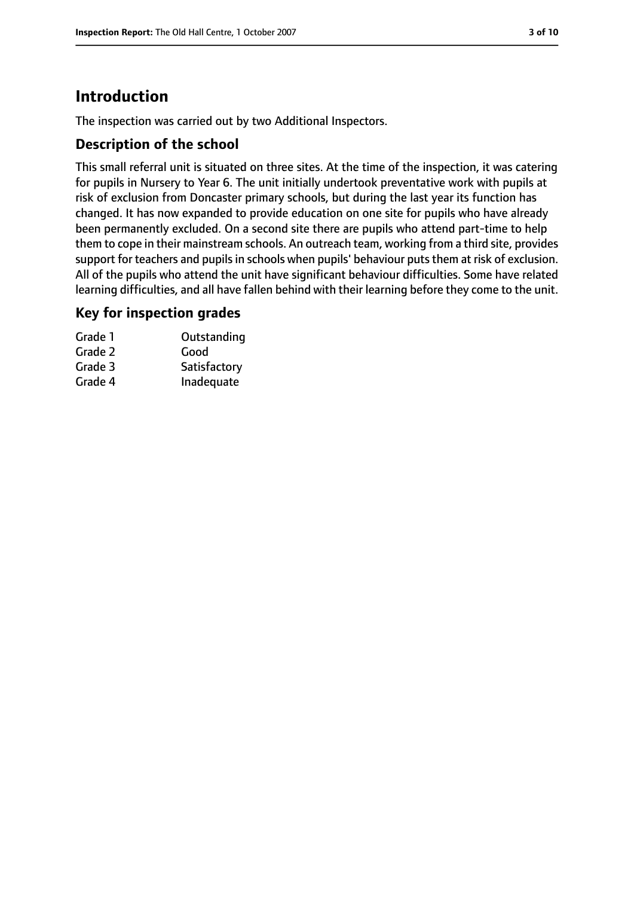# **Introduction**

The inspection was carried out by two Additional Inspectors.

#### **Description of the school**

This small referral unit is situated on three sites. At the time of the inspection, it was catering for pupils in Nursery to Year 6. The unit initially undertook preventative work with pupils at risk of exclusion from Doncaster primary schools, but during the last year its function has changed. It has now expanded to provide education on one site for pupils who have already been permanently excluded. On a second site there are pupils who attend part-time to help them to cope in their mainstream schools. An outreach team, working from a third site, provides support for teachers and pupils in schools when pupils' behaviour puts them at risk of exclusion. All of the pupils who attend the unit have significant behaviour difficulties. Some have related learning difficulties, and all have fallen behind with their learning before they come to the unit.

#### **Key for inspection grades**

| Outstanding  |
|--------------|
| Good         |
| Satisfactory |
| Inadequate   |
|              |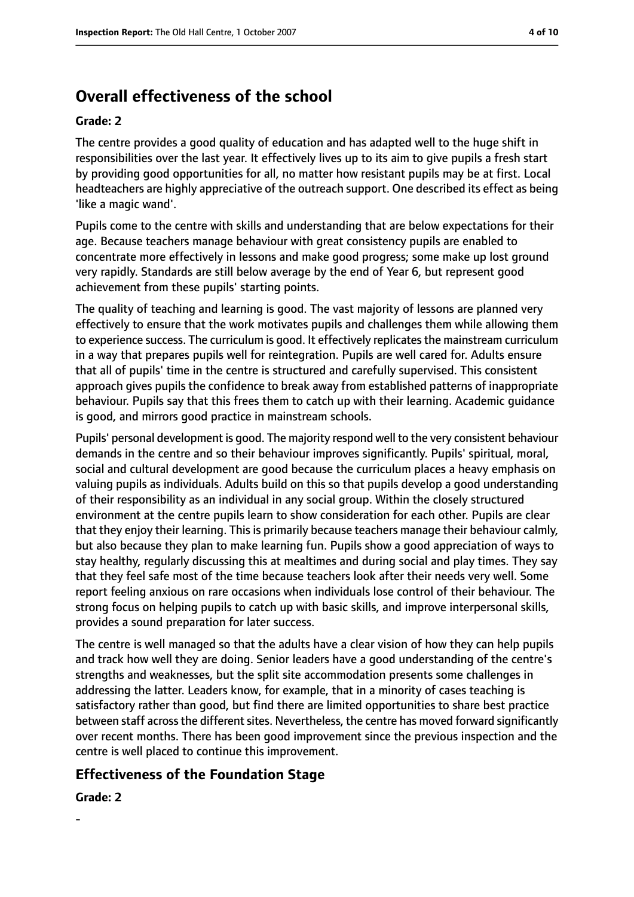# **Overall effectiveness of the school**

#### **Grade: 2**

The centre provides a good quality of education and has adapted well to the huge shift in responsibilities over the last year. It effectively lives up to its aim to give pupils a fresh start by providing good opportunities for all, no matter how resistant pupils may be at first. Local headteachers are highly appreciative of the outreach support. One described its effect as being 'like a magic wand'.

Pupils come to the centre with skills and understanding that are below expectations for their age. Because teachers manage behaviour with great consistency pupils are enabled to concentrate more effectively in lessons and make good progress; some make up lost ground very rapidly. Standards are still below average by the end of Year 6, but represent good achievement from these pupils' starting points.

The quality of teaching and learning is good. The vast majority of lessons are planned very effectively to ensure that the work motivates pupils and challenges them while allowing them to experience success. The curriculum is good. It effectively replicatesthe mainstream curriculum in a way that prepares pupils well for reintegration. Pupils are well cared for. Adults ensure that all of pupils' time in the centre is structured and carefully supervised. This consistent approach gives pupils the confidence to break away from established patterns of inappropriate behaviour. Pupils say that this frees them to catch up with their learning. Academic guidance is good, and mirrors good practice in mainstream schools.

Pupils' personal development is good. The majority respond well to the very consistent behaviour demands in the centre and so their behaviour improves significantly. Pupils' spiritual, moral, social and cultural development are good because the curriculum places a heavy emphasis on valuing pupils as individuals. Adults build on this so that pupils develop a good understanding of their responsibility as an individual in any social group. Within the closely structured environment at the centre pupils learn to show consideration for each other. Pupils are clear that they enjoy their learning. This is primarily because teachers manage their behaviour calmly, but also because they plan to make learning fun. Pupils show a good appreciation of ways to stay healthy, regularly discussing this at mealtimes and during social and play times. They say that they feel safe most of the time because teachers look after their needs very well. Some report feeling anxious on rare occasions when individuals lose control of their behaviour. The strong focus on helping pupils to catch up with basic skills, and improve interpersonal skills, provides a sound preparation for later success.

The centre is well managed so that the adults have a clear vision of how they can help pupils and track how well they are doing. Senior leaders have a good understanding of the centre's strengths and weaknesses, but the split site accommodation presents some challenges in addressing the latter. Leaders know, for example, that in a minority of cases teaching is satisfactory rather than good, but find there are limited opportunities to share best practice between staff across the different sites. Nevertheless, the centre has moved forward significantly over recent months. There has been good improvement since the previous inspection and the centre is well placed to continue this improvement.

## **Effectiveness of the Foundation Stage**

#### **Grade: 2**

-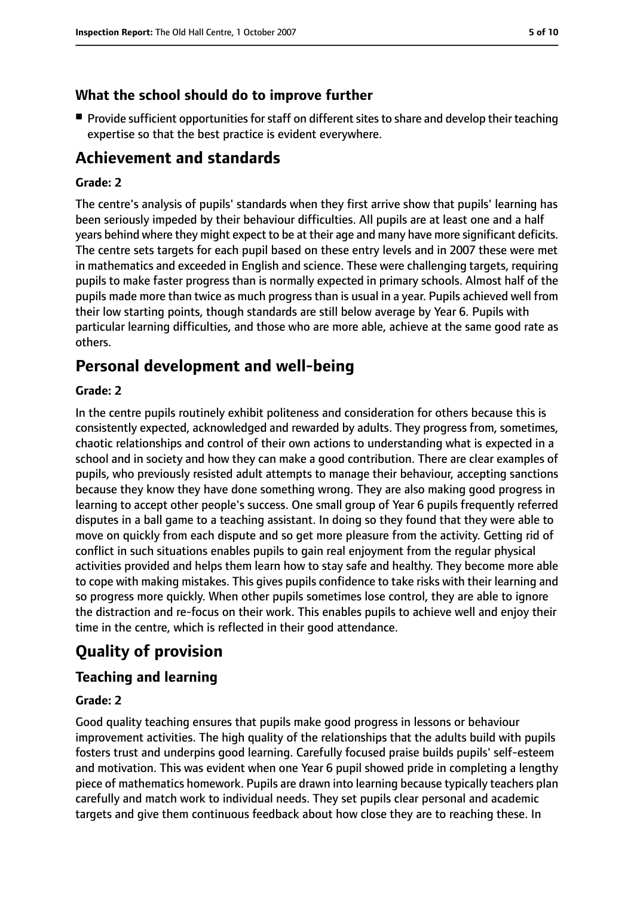## **What the school should do to improve further**

■ Provide sufficient opportunities for staff on different sites to share and develop their teaching expertise so that the best practice is evident everywhere.

# **Achievement and standards**

#### **Grade: 2**

The centre's analysis of pupils' standards when they first arrive show that pupils' learning has been seriously impeded by their behaviour difficulties. All pupils are at least one and a half years behind where they might expect to be at their age and many have more significant deficits. The centre sets targets for each pupil based on these entry levels and in 2007 these were met in mathematics and exceeded in English and science. These were challenging targets, requiring pupils to make faster progress than is normally expected in primary schools. Almost half of the pupils made more than twice as much progress than is usual in a year. Pupils achieved well from their low starting points, though standards are still below average by Year 6. Pupils with particular learning difficulties, and those who are more able, achieve at the same good rate as others.

# **Personal development and well-being**

#### **Grade: 2**

In the centre pupils routinely exhibit politeness and consideration for others because this is consistently expected, acknowledged and rewarded by adults. They progress from, sometimes, chaotic relationships and control of their own actions to understanding what is expected in a school and in society and how they can make a good contribution. There are clear examples of pupils, who previously resisted adult attempts to manage their behaviour, accepting sanctions because they know they have done something wrong. They are also making good progress in learning to accept other people's success. One small group of Year 6 pupils frequently referred disputes in a ball game to a teaching assistant. In doing so they found that they were able to move on quickly from each dispute and so get more pleasure from the activity. Getting rid of conflict in such situations enables pupils to gain real enjoyment from the regular physical activities provided and helps them learn how to stay safe and healthy. They become more able to cope with making mistakes. This gives pupils confidence to take risks with their learning and so progress more quickly. When other pupils sometimes lose control, they are able to ignore the distraction and re-focus on their work. This enables pupils to achieve well and enjoy their time in the centre, which is reflected in their good attendance.

# **Quality of provision**

## **Teaching and learning**

#### **Grade: 2**

Good quality teaching ensures that pupils make good progress in lessons or behaviour improvement activities. The high quality of the relationships that the adults build with pupils fosters trust and underpins good learning. Carefully focused praise builds pupils' self-esteem and motivation. This was evident when one Year 6 pupil showed pride in completing a lengthy piece of mathematics homework. Pupils are drawn into learning because typically teachers plan carefully and match work to individual needs. They set pupils clear personal and academic targets and give them continuous feedback about how close they are to reaching these. In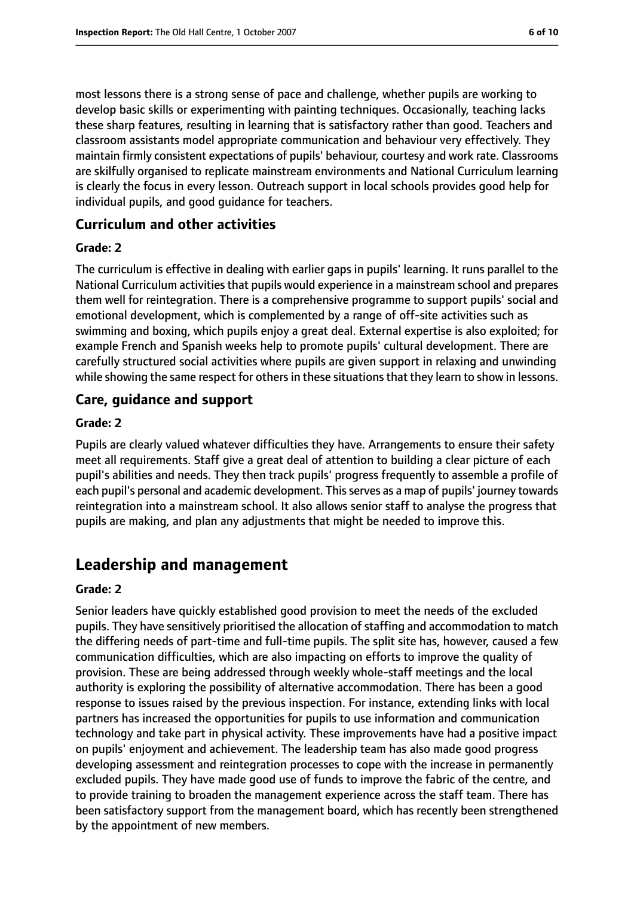most lessons there is a strong sense of pace and challenge, whether pupils are working to develop basic skills or experimenting with painting techniques. Occasionally, teaching lacks these sharp features, resulting in learning that is satisfactory rather than good. Teachers and classroom assistants model appropriate communication and behaviour very effectively. They maintain firmly consistent expectations of pupils' behaviour, courtesy and work rate. Classrooms are skilfully organised to replicate mainstream environments and National Curriculum learning is clearly the focus in every lesson. Outreach support in local schools provides good help for individual pupils, and good guidance for teachers.

### **Curriculum and other activities**

#### **Grade: 2**

The curriculum is effective in dealing with earlier gaps in pupils' learning. It runs parallel to the National Curriculum activities that pupils would experience in a mainstream school and prepares them well for reintegration. There is a comprehensive programme to support pupils' social and emotional development, which is complemented by a range of off-site activities such as swimming and boxing, which pupils enjoy a great deal. External expertise is also exploited; for example French and Spanish weeks help to promote pupils' cultural development. There are carefully structured social activities where pupils are given support in relaxing and unwinding while showing the same respect for others in these situations that they learn to show in lessons.

### **Care, guidance and support**

#### **Grade: 2**

Pupils are clearly valued whatever difficulties they have. Arrangements to ensure their safety meet all requirements. Staff give a great deal of attention to building a clear picture of each pupil's abilities and needs. They then track pupils' progress frequently to assemble a profile of each pupil's personal and academic development. This serves as a map of pupils' journey towards reintegration into a mainstream school. It also allows senior staff to analyse the progress that pupils are making, and plan any adjustments that might be needed to improve this.

# **Leadership and management**

#### **Grade: 2**

Senior leaders have quickly established good provision to meet the needs of the excluded pupils. They have sensitively prioritised the allocation of staffing and accommodation to match the differing needs of part-time and full-time pupils. The split site has, however, caused a few communication difficulties, which are also impacting on efforts to improve the quality of provision. These are being addressed through weekly whole-staff meetings and the local authority is exploring the possibility of alternative accommodation. There has been a good response to issues raised by the previous inspection. For instance, extending links with local partners has increased the opportunities for pupils to use information and communication technology and take part in physical activity. These improvements have had a positive impact on pupils' enjoyment and achievement. The leadership team has also made good progress developing assessment and reintegration processes to cope with the increase in permanently excluded pupils. They have made good use of funds to improve the fabric of the centre, and to provide training to broaden the management experience across the staff team. There has been satisfactory support from the management board, which has recently been strengthened by the appointment of new members.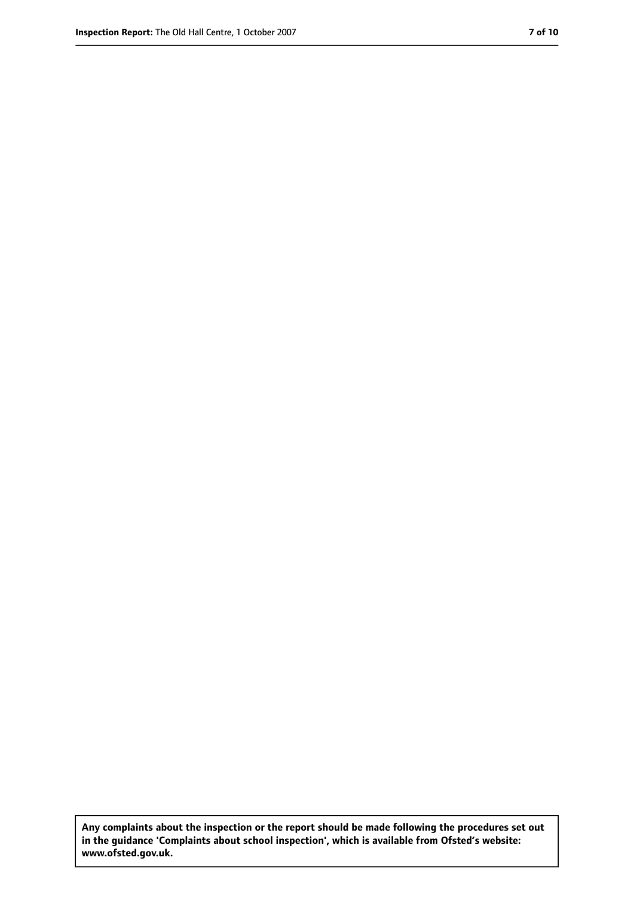**Any complaints about the inspection or the report should be made following the procedures set out in the guidance 'Complaints about school inspection', which is available from Ofsted's website: www.ofsted.gov.uk.**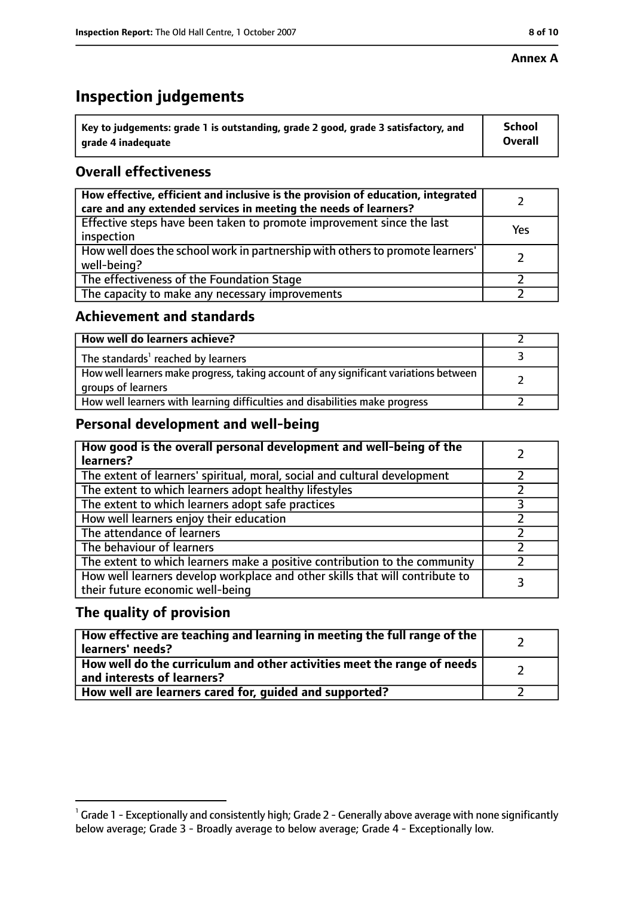#### **Annex A**

# **Inspection judgements**

| $^{\circ}$ Key to judgements: grade 1 is outstanding, grade 2 good, grade 3 satisfactory, and | <b>School</b>  |
|-----------------------------------------------------------------------------------------------|----------------|
| arade 4 inadeguate                                                                            | <b>Overall</b> |

## **Overall effectiveness**

| How effective, efficient and inclusive is the provision of education, integrated<br>care and any extended services in meeting the needs of learners? |     |
|------------------------------------------------------------------------------------------------------------------------------------------------------|-----|
| Effective steps have been taken to promote improvement since the last<br>inspection                                                                  | Yes |
| How well does the school work in partnership with others to promote learners'<br>well-being?                                                         |     |
| The effectiveness of the Foundation Stage                                                                                                            |     |
| The capacity to make any necessary improvements                                                                                                      |     |

### **Achievement and standards**

| How well do learners achieve?                                                                               |  |
|-------------------------------------------------------------------------------------------------------------|--|
| The standards <sup>1</sup> reached by learners                                                              |  |
| How well learners make progress, taking account of any significant variations between<br>groups of learners |  |
| How well learners with learning difficulties and disabilities make progress                                 |  |

## **Personal development and well-being**

| How good is the overall personal development and well-being of the<br>learners?                                  |  |
|------------------------------------------------------------------------------------------------------------------|--|
| The extent of learners' spiritual, moral, social and cultural development                                        |  |
| The extent to which learners adopt healthy lifestyles                                                            |  |
| The extent to which learners adopt safe practices                                                                |  |
| How well learners enjoy their education                                                                          |  |
| The attendance of learners                                                                                       |  |
| The behaviour of learners                                                                                        |  |
| The extent to which learners make a positive contribution to the community                                       |  |
| How well learners develop workplace and other skills that will contribute to<br>their future economic well-being |  |

## **The quality of provision**

| How effective are teaching and learning in meeting the full range of the<br>learners' needs?          |  |
|-------------------------------------------------------------------------------------------------------|--|
| How well do the curriculum and other activities meet the range of needs<br>and interests of learners? |  |
| How well are learners cared for, quided and supported?                                                |  |

 $^1$  Grade 1 - Exceptionally and consistently high; Grade 2 - Generally above average with none significantly below average; Grade 3 - Broadly average to below average; Grade 4 - Exceptionally low.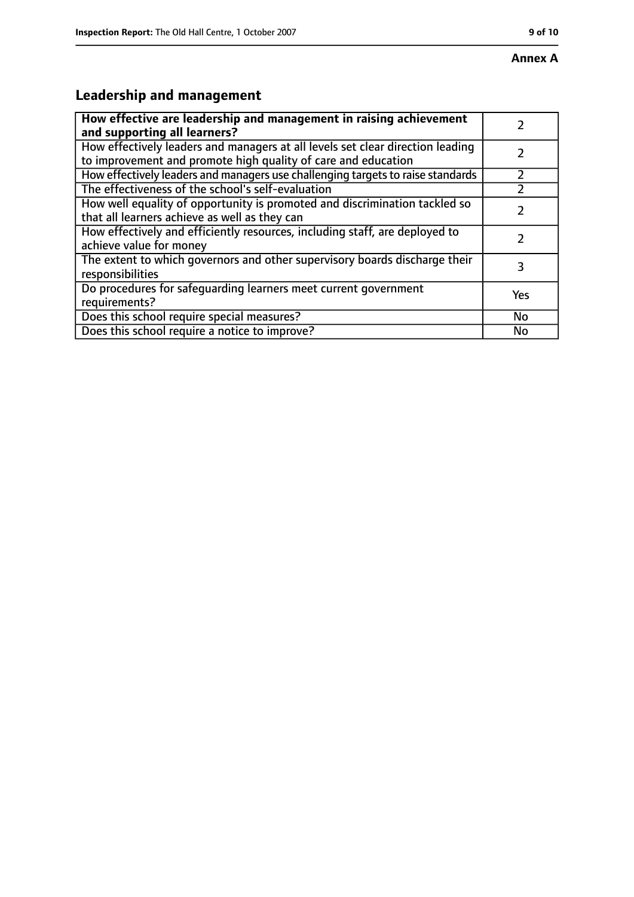## **Annex A**

# **Leadership and management**

| How effective are leadership and management in raising achievement<br>and supporting all learners?                                              |     |
|-------------------------------------------------------------------------------------------------------------------------------------------------|-----|
| How effectively leaders and managers at all levels set clear direction leading<br>to improvement and promote high quality of care and education |     |
| How effectively leaders and managers use challenging targets to raise standards                                                                 |     |
| The effectiveness of the school's self-evaluation                                                                                               |     |
| How well equality of opportunity is promoted and discrimination tackled so<br>that all learners achieve as well as they can                     |     |
| How effectively and efficiently resources, including staff, are deployed to<br>achieve value for money                                          |     |
| The extent to which governors and other supervisory boards discharge their<br>responsibilities                                                  | 3   |
| Do procedures for safequarding learners meet current government<br>requirements?                                                                | Yes |
| Does this school require special measures?                                                                                                      | No  |
| Does this school require a notice to improve?                                                                                                   | No  |